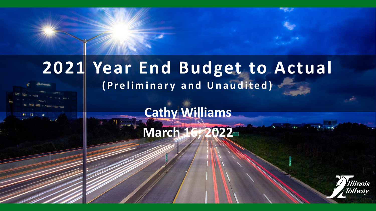# **2021 Year End Budget to Actual**

**(Preliminary and Unaudited)**

**Cathy Williams March 16, 2022**

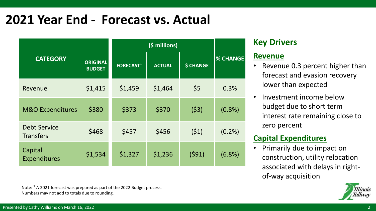## **2021 Year End - Forecast vs. Actual**

| <b>CATEGORY</b>                         | <b>ORIGINAL</b><br><b>BUDGET</b> | FORECAST <sup>1</sup> | <b>ACTUAL</b> | <b>\$ CHANGE</b> | <b>% CHANGE</b> |  |
|-----------------------------------------|----------------------------------|-----------------------|---------------|------------------|-----------------|--|
| Revenue                                 | \$1,415                          | \$1,459               | \$1,464       | \$5              | 0.3%            |  |
| <b>M&amp;O Expenditures</b>             | \$380                            | \$373                 | \$370         | (53)             | $(0.8\%)$       |  |
| <b>Debt Service</b><br><b>Transfers</b> | \$468                            | \$457                 | \$456         | (51)             | (0.2%           |  |
| Capital<br><b>Expenditures</b>          | \$1,534                          | \$1,327               | \$1,236       | (591)            | $(6.8\%)$       |  |

Note: <sup>1</sup> A 2021 forecast was prepared as part of the 2022 Budget process. Numbers may not add to totals due to rounding.

#### **Key Drivers**

#### **Revenue**

- Revenue 0.3 percent higher than forecast and evasion recovery lower than expected
- Investment income below budget due to short term interest rate remaining close to zero percent

#### **Capital Expenditures**

• Primarily due to impact on construction, utility relocation associated with delays in rightof-way acquisition

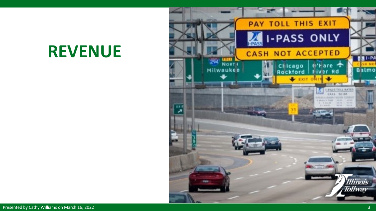## **REVENUE**

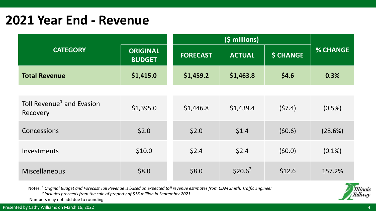### **2021 Year End - Revenue**

| <b>CATEGORY</b>                                   | <b>ORIGINAL</b><br><b>BUDGET</b> | <b>FORECAST</b> | <b>ACTUAL</b> | <b>\$ CHANGE</b> | <b>% CHANGE</b> |
|---------------------------------------------------|----------------------------------|-----------------|---------------|------------------|-----------------|
| <b>Total Revenue</b>                              | \$1,415.0                        | \$1,459.2       | \$1,463.8     | \$4.6            | 0.3%            |
|                                                   |                                  |                 |               |                  |                 |
| Toll Revenue <sup>1</sup> and Evasion<br>Recovery | \$1,395.0                        | \$1,446.8       | \$1,439.4     | (57.4)           | $(0.5\%)$       |
| Concessions                                       | \$2.0                            | \$2.0           | \$1.4         | (50.6)           | (28.6%)         |
| Investments                                       | \$10.0                           | \$2.4           | \$2.4         | (50.0)           | $(0.1\%)$       |
| <b>Miscellaneous</b>                              | \$8.0                            | \$8.0           | $$20.6^2$     | \$12.6           | 157.2%          |

Notes: *<sup>1</sup> Original Budget and Forecast Toll Revenue is based on expected toll revenue estimates from CDM Smith, Traffic Engineer*

<sup>2</sup>*Includes proceeds from the sale of property of \$16 million in September 2021.*

Numbers may not add due to rounding.

Presented by Cathy Williams on March 16, 2022 4. A contract the contract of the contract of the contract of the contract of the contract of the contract of the contract of the contract of the contract of the contract of th

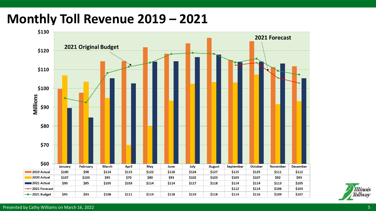## **Monthly Toll Revenue 2019 – 2021**



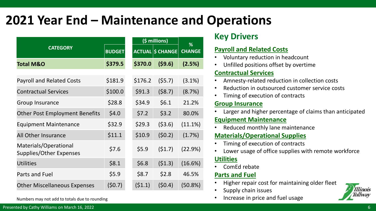## **2021 Year End – Maintenance and Operations**

|                                                  |               |  |               | (\$ millions)    | %             |
|--------------------------------------------------|---------------|--|---------------|------------------|---------------|
| <b>CATEGORY</b>                                  | <b>BUDGET</b> |  | <b>ACTUAL</b> | <b>\$ CHANGE</b> | <b>CHANGE</b> |
| <b>Total M&amp;O</b>                             | \$379.5       |  | \$370.0       | (59.6)           | (2.5%)        |
| <b>Payroll and Related Costs</b>                 | \$181.9       |  | \$176.2       | (55.7)           | $(3.1\%)$     |
| <b>Contractual Services</b>                      | \$100.0       |  | \$91.3        | (58.7)           | (8.7%)        |
| <b>Group Insurance</b>                           | \$28.8        |  | \$34.9        | \$6.1            | 21.2%         |
| <b>Other Post Employment Benefits</b>            | \$4.0         |  | \$7.2         | \$3.2            | 80.0%         |
| <b>Equipment Maintenance</b>                     | \$32.9        |  | \$29.3        | (53.6)           | (11.1%)       |
| All Other Insurance                              | \$11.1        |  | \$10.9        | (50.2)           | (1.7%)        |
| Materials/Operational<br>Supplies/Other Expenses | \$7.6         |  | \$5.9         | (51.7)           | (22.9%)       |
| <b>Utilities</b>                                 | \$8.1         |  | \$6.8         | (51.3)           | (16.6%)       |
| <b>Parts and Fuel</b>                            | \$5.9         |  | \$8.7         | \$2.8            | 46.5%         |
| <b>Other Miscellaneous Expenses</b>              | (50.7)        |  | (51.1)        | (50.4)           | (50.8%)       |

#### Numbers may not add to totals due to rounding

#### **Key Drivers**

#### **Payroll and Related Costs**

- Voluntary reduction in headcount
- Unfilled positions offset by overtime

#### **Contractual Services**

- Amnesty-related reduction in collection costs
- Reduction in outsourced customer service costs
- Timing of execution of contracts

#### **Group Insurance**

Larger and higher percentage of claims than anticipated

#### **Equipment Maintenance**

Reduced monthly lane maintenance

#### **Materials/Operational Supplies**

- Timing of execution of contracts
- Lower usage of office supplies with remote workforce

#### **Utilities**

• ComEd rebate

#### **Parts and Fuel**

- Higher repair cost for maintaining older fleet
- Supply chain issues
- Increase in price and fuel usage

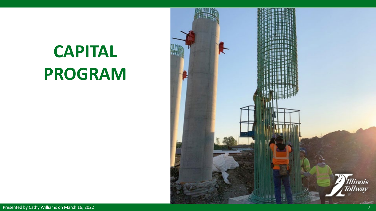

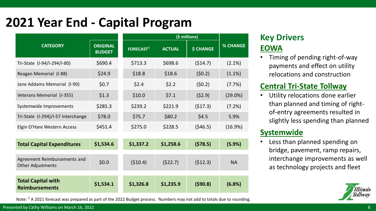## **2021 Year End - Capital Program**

|                                                          |                                  |                  | (\$ millions) |                  |                 |  |  |
|----------------------------------------------------------|----------------------------------|------------------|---------------|------------------|-----------------|--|--|
| <b>CATEGORY</b>                                          | <b>ORIGINAL</b><br><b>BUDGET</b> | <b>FORECAST1</b> | <b>ACTUAL</b> | <b>\$ CHANGE</b> | <b>% CHANGE</b> |  |  |
| Tri-State (I-94/I-294/I-80)                              | \$690.4                          | \$713.3          | \$698.6       | (514.7)          | $(2.1\%)$       |  |  |
| Reagan Memorial (I-88)                                   | \$24.9                           | \$18.8           | \$18.6        | (50.2)           | $(1.1\%)$       |  |  |
| Jane Addams Memorial (I-90)                              | \$0.7                            | \$2.4            | \$2.2         | (50.2)           | (7.7%)          |  |  |
| Veterans Memorial (I-355)                                | \$1.3                            | \$10.0           | \$7.1         | (52.9)           | $(29.0\%)$      |  |  |
| Systemwide Improvements                                  | \$285.3                          | \$239.2          | \$221.9       | (517.3)          | (7.2%)          |  |  |
| Tri-State (I-294)/I-57 Interchange                       | \$78.0                           | \$75.7           | \$80.2        | \$4.5            | 5.9%            |  |  |
| Elgin O'Hare Western Access                              | \$451.4                          | \$275.0          | \$228.5       | (546.5)          | (16.9%)         |  |  |
|                                                          |                                  |                  |               |                  |                 |  |  |
| <b>Total Capital Expenditures</b>                        | \$1,534.6                        | \$1,337.2        | \$1,258.6     | (578.5)          | (5.9%)          |  |  |
| Agreement Reimbursements and<br><b>Other Adjustments</b> | \$0.0\$                          | (510.4)          | (522.7)       | (512.3)          | <b>NA</b>       |  |  |
| <b>Total Capital with</b><br><b>Reimbursements</b>       | \$1,534.1                        | \$1,326.8        | \$1,235.9     | (590.8)          | (6.8%)          |  |  |

Note:  $1$  A 2021 forecast was prepared as part of the 2022 Budget process. Numbers may not add to totals due to rounding.

#### Presented by Cathy Williams on March 16, 2022

#### **Key Drivers EOWA**

• Timing of pending right-of-way payments and effect on utility relocations and construction

#### **Central Tri-State Tollway**

Utility relocations done earlier than planned and timing of rightof-entry agreements resulted in slightly less spending than planned

#### **Systemwide**

Less than planned spending on bridge, pavement, ramp repairs, interchange improvements as well as technology projects and fleet

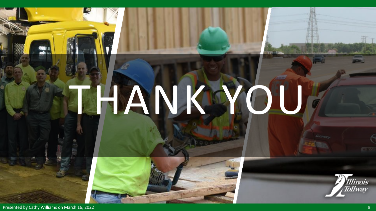# THANKWOU





Presented by Cathy Williams on March 16, 2022 **9 and 2012** 19:30 and 2012 19:30 and 2013 19:30 and 2013 19:30 and 2013 19:30 and 2013 19:30 and 2013 19:30 and 2013 19:30 and 2013 19:30 and 2013 19:30 and 2013 19:30 and 201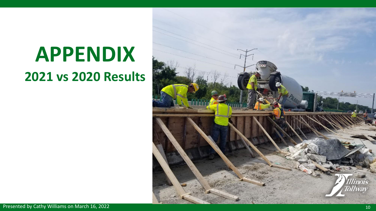# **APPENDIX 2021 vs 2020 Results**

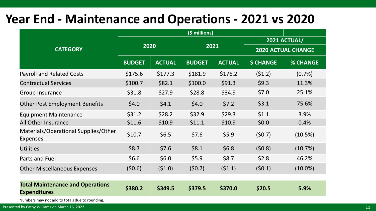## **Year End - Maintenance and Operations - 2021 vs 2020**

| (\$ millions)                                                  |               |               |               |               |                           |                 |  |
|----------------------------------------------------------------|---------------|---------------|---------------|---------------|---------------------------|-----------------|--|
|                                                                | 2020          |               | 2021          |               | 2021 ACTUAL/              |                 |  |
| <b>CATEGORY</b>                                                |               |               |               |               | <b>2020 ACTUAL CHANGE</b> |                 |  |
|                                                                | <b>BUDGET</b> | <b>ACTUAL</b> | <b>BUDGET</b> | <b>ACTUAL</b> | <b>\$ CHANGE</b>          | <b>% CHANGE</b> |  |
| <b>Payroll and Related Costs</b>                               | \$175.6       | \$177.3       | \$181.9       | \$176.2       | (51.2)                    | $(0.7\%)$       |  |
| <b>Contractual Services</b>                                    | \$100.7       | \$82.1        | \$100.0       | \$91.3        | \$9.3                     | 11.3%           |  |
| <b>Group Insurance</b>                                         | \$31.8        | \$27.9        | \$28.8        | \$34.9        | \$7.0                     | 25.1%           |  |
| <b>Other Post Employment Benefits</b>                          | \$4.0         | \$4.1         | \$4.0         | \$7.2         | \$3.1                     | 75.6%           |  |
| <b>Equipment Maintenance</b>                                   | \$31.2        | \$28.2        | \$32.9        | \$29.3        | \$1.1                     | 3.9%            |  |
| All Other Insurance                                            | \$11.6        | \$10.9        | \$11.1        | \$10.9        | \$0.0\$                   | 0.4%            |  |
| Materials/Operational Supplies/Other<br><b>Expenses</b>        | \$10.7        | \$6.5         | \$7.6         | \$5.9         | (50.7)                    | (10.5%)         |  |
| <b>Utilities</b>                                               | \$8.7         | \$7.6         | \$8.1         | \$6.8\$       | (50.8)                    | (10.7%)         |  |
| <b>Parts and Fuel</b>                                          | \$6.6         | \$6.0         | \$5.9         | \$8.7         | \$2.8                     | 46.2%           |  |
| <b>Other Miscellaneous Expenses</b>                            | (50.6)        | (51.0)        | (50.7)        | (51.1)        | (50.1)                    | $(10.0\%)$      |  |
|                                                                |               |               |               |               |                           |                 |  |
| <b>Total Maintenance and Operations</b><br><b>Expenditures</b> | \$380.2       | \$349.5       | \$379.5       | \$370.0       | \$20.5                    | 5.9%            |  |
| Numbers may not add to totals due to rounding.                 |               |               |               |               |                           |                 |  |